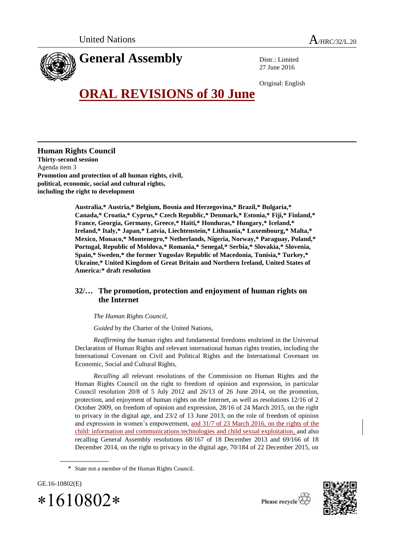

Distr.: Limited 27 June 2016

Original: English

## **ORAL REVISIONS of 30 June**

**Human Rights Council Thirty-second session** Agenda item 3 **Promotion and protection of all human rights, civil, political, economic, social and cultural rights, including the right to development**

> **Australia,\* Austria,\* Belgium, Bosnia and Herzegovina,\* Brazil,\* Bulgaria,\* Canada,\* Croatia,\* Cyprus,\* Czech Republic,\* Denmark,\* Estonia,\* Fiji,\* Finland,\* France, Georgia, Germany, Greece,\* Haiti,\* Honduras,\* Hungary,\* Iceland,\* Ireland,\* Italy,\* Japan,\* Latvia, Liechtenstein,\* Lithuania,\* Luxembourg,\* Malta,\* Mexico, Monaco,\* Montenegro,\* Netherlands, Nigeria, Norway,\* Paraguay, Poland,\* Portugal, Republic of Moldova,\* Romania,\* Senegal,\* Serbia,\* Slovakia,\* Slovenia, Spain,\* Sweden,\* the former Yugoslav Republic of Macedonia, Tunisia,\* Turkey,\* Ukraine,\* United Kingdom of Great Britain and Northern Ireland, United States of America:\* draft resolution**

## **32/… The promotion, protection and enjoyment of human rights on the Internet**

## *The Human Rights Council*,

*Guided* by the Charter of the United Nations,

*Reaffirming* the human rights and fundamental freedoms enshrined in the Universal Declaration of Human Rights and relevant international human rights treaties, including the International Covenant on Civil and Political Rights and the International Covenant on Economic, Social and Cultural Rights,

*Recalling* all relevant resolutions of the Commission on Human Rights and the Human Rights Council on the right to freedom of opinion and expression, in particular Council resolution 20/8 of 5 July 2012 and 26/13 of 26 June 2014, on the promotion, protection, and enjoyment of human rights on the Internet, as well as resolutions 12/16 of 2 October 2009, on freedom of opinion and expression, 28/16 of 24 March 2015, on the right to privacy in the digital age, and 23/2 of 13 June 2013, on the role of freedom of opinion and expression in women's empowerment, and 31/7 of 23 March 2016, on the rights of the child: information and communications technologies and child sexual exploitation, and also recalling General Assembly resolutions 68/167 of 18 December 2013 and 69/166 of 18 December 2014, on the right to privacy in the digital age, 70/184 of 22 December 2015, on

GE.16-10802(E)  $*1610802*$ 





<sup>\*</sup> State not a member of the Human Rights Council.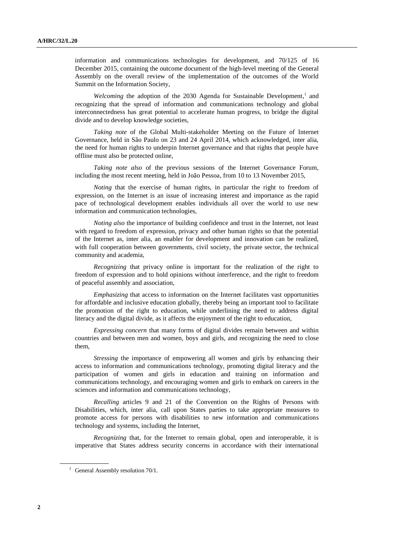information and communications technologies for development, and 70/125 of 16 December 2015, containing the outcome document of the high-level meeting of the General Assembly on the overall review of the implementation of the outcomes of the World Summit on the Information Society,

Welcoming the adoption of the 2030 Agenda for Sustainable Development,<sup>1</sup> and recognizing that the spread of information and communications technology and global interconnectedness has great potential to accelerate human progress, to bridge the digital divide and to develop knowledge societies,

*Taking note* of the Global Multi-stakeholder Meeting on the Future of Internet Governance, held in São Paulo on 23 and 24 April 2014, which acknowledged, inter alia, the need for human rights to underpin Internet governance and that rights that people have offline must also be protected online,

*Taking note also* of the previous sessions of the Internet Governance Forum, including the most recent meeting, held in João Pessoa, from 10 to 13 November 2015,

*Noting* that the exercise of human rights, in particular the right to freedom of expression, on the Internet is an issue of increasing interest and importance as the rapid pace of technological development enables individuals all over the world to use new information and communication technologies,

*Noting also* the importance of building confidence and trust in the Internet, not least with regard to freedom of expression, privacy and other human rights so that the potential of the Internet as, inter alia, an enabler for development and innovation can be realized, with full cooperation between governments, civil society, the private sector, the technical community and academia,

*Recognizing* that privacy online is important for the realization of the right to freedom of expression and to hold opinions without interference, and the right to freedom of peaceful assembly and association,

*Emphasizing* that access to information on the Internet facilitates vast opportunities for affordable and inclusive education globally, thereby being an important tool to facilitate the promotion of the right to education, while underlining the need to address digital literacy and the digital divide, as it affects the enjoyment of the right to education,

*Expressing concern* that many forms of digital divides remain between and within countries and between men and women, boys and girls, and recognizing the need to close them,

*Stressing* the importance of empowering all women and girls by enhancing their access to information and communications technology, promoting digital literacy and the participation of women and girls in education and training on information and communications technology, and encouraging women and girls to embark on careers in the sciences and information and communications technology,

*Recalling* articles 9 and 21 of the Convention on the Rights of Persons with Disabilities, which, inter alia, call upon States parties to take appropriate measures to promote access for persons with disabilities to new information and communications technology and systems, including the Internet,

*Recognizing* that, for the Internet to remain global, open and interoperable, it is imperative that States address security concerns in accordance with their international

 $1$  General Assembly resolution 70/1.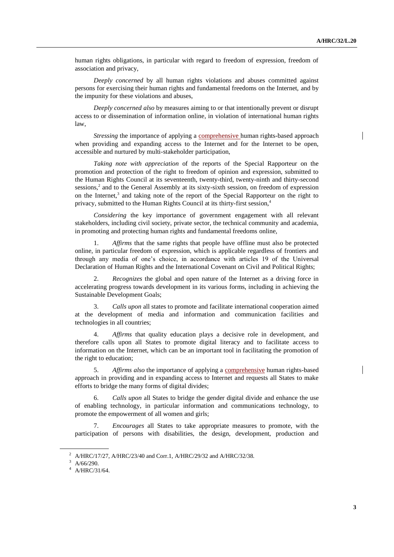human rights obligations, in particular with regard to freedom of expression, freedom of association and privacy,

*Deeply concerned* by all human rights violations and abuses committed against persons for exercising their human rights and fundamental freedoms on the Internet, and by the impunity for these violations and abuses,

*Deeply concerned also* by measures aiming to or that intentionally prevent or disrupt access to or dissemination of information online, in violation of international human rights law,

*Stressing* the importance of applying a comprehensive human rights-based approach when providing and expanding access to the Internet and for the Internet to be open, accessible and nurtured by multi-stakeholder participation,

*Taking note with appreciation* of the reports of the Special Rapporteur on the promotion and protection of the right to freedom of opinion and expression, submitted to the Human Rights Council at its seventeenth, twenty-third, twenty-ninth and thirty-second sessions,<sup>2</sup> and to the General Assembly at its sixty-sixth session, on freedom of expression on the Internet, $3$  and taking note of the report of the Special Rapporteur on the right to privacy, submitted to the Human Rights Council at its thirty-first session,<sup>4</sup>

*Considering* the key importance of government engagement with all relevant stakeholders, including civil society, private sector, the technical community and academia, in promoting and protecting human rights and fundamental freedoms online,

1. *Affirms* that the same rights that people have offline must also be protected online, in particular freedom of expression, which is applicable regardless of frontiers and through any media of one's choice, in accordance with articles 19 of the Universal Declaration of Human Rights and the International Covenant on Civil and Political Rights;

2. *Recognizes* the global and open nature of the Internet as a driving force in accelerating progress towards development in its various forms, including in achieving the Sustainable Development Goals;

3. *Calls upon* all states to promote and facilitate international cooperation aimed at the development of media and information and communication facilities and technologies in all countries;

4. *Affirms* that quality education plays a decisive role in development, and therefore calls upon all States to promote digital literacy and to facilitate access to information on the Internet, which can be an important tool in facilitating the promotion of the right to education;

5. *Affirms also* the importance of applying a comprehensive human rights-based approach in providing and in expanding access to Internet and requests all States to make efforts to bridge the many forms of digital divides;

6. *Calls upon* all States to bridge the gender digital divide and enhance the use of enabling technology, in particular information and communications technology, to promote the empowerment of all women and girls;

7. *Encourages* all States to take appropriate measures to promote, with the participation of persons with disabilities, the design, development, production and

<sup>&</sup>lt;sup>2</sup> A/HRC/17/27, A/HRC/23/40 and Corr.1, A/HRC/29/32 and A/HRC/32/38.

 $3$  A/66/290.

<sup>4</sup> A/HRC/31/64.